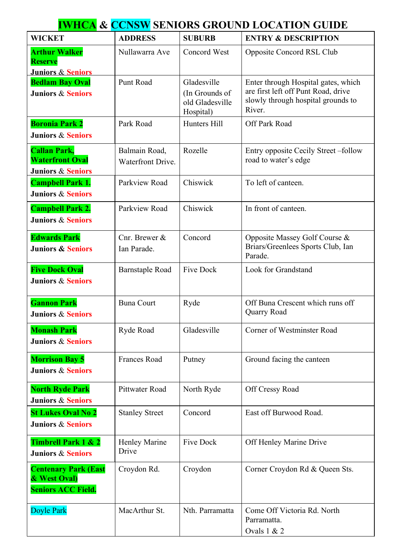| <b>IWHCA &amp; CCNSW SENIORS GROUND LOCATION GUIDE</b>                        |                                    |                                                               |                                                                                                                            |  |  |
|-------------------------------------------------------------------------------|------------------------------------|---------------------------------------------------------------|----------------------------------------------------------------------------------------------------------------------------|--|--|
| <b>WICKET</b>                                                                 | <b>ADDRESS</b>                     | <b>SUBURB</b>                                                 | <b>ENTRY &amp; DESCRIPTION</b>                                                                                             |  |  |
| <b>Arthur Walker</b><br><b>Reserve</b><br>Juniors & Seniors                   | Nullawarra Ave                     | Concord West                                                  | Opposite Concord RSL Club                                                                                                  |  |  |
| <b>Bedlam Bay Oval</b><br><b>Juniors &amp; Seniors</b>                        | Punt Road                          | Gladesville<br>(In Grounds of<br>old Gladesville<br>Hospital) | Enter through Hospital gates, which<br>are first left off Punt Road, drive<br>slowly through hospital grounds to<br>River. |  |  |
| <b>Boronia Park 2</b><br><b>Juniors &amp; Seniors</b>                         | Park Road                          | Hunters Hill                                                  | Off Park Road                                                                                                              |  |  |
| <b>Callan Park,</b><br><b>Waterfront Oval</b><br><b>Juniors &amp; Seniors</b> | Balmain Road,<br>Waterfront Drive. | Rozelle                                                       | Entry opposite Cecily Street – follow<br>road to water's edge                                                              |  |  |
| <b>Campbell Park 1.</b><br><b>Juniors &amp; Seniors</b>                       | Parkview Road                      | Chiswick                                                      | To left of canteen.                                                                                                        |  |  |
| <b>Campbell Park 2.</b><br><b>Juniors &amp; Seniors</b>                       | Parkview Road                      | Chiswick                                                      | In front of canteen.                                                                                                       |  |  |
| <b>Edwards Park</b><br><b>Juniors &amp; Seniors</b>                           | Cnr. Brewer $&$<br>Ian Parade.     | Concord                                                       | Opposite Massey Golf Course &<br>Briars/Greenlees Sports Club, Ian<br>Parade.                                              |  |  |
| <b>Five Dock Oval</b><br><b>Juniors &amp; Seniors</b>                         | <b>Barnstaple Road</b>             | <b>Five Dock</b>                                              | Look for Grandstand                                                                                                        |  |  |
| <b>Gannon Park</b><br><b>Juniors &amp; Seniors</b>                            | <b>Buna Court</b>                  | Ryde                                                          | Off Buna Crescent which runs off<br>Quarry Road                                                                            |  |  |
| <b>Monash Park</b><br><b>Juniors &amp; Seniors</b>                            | Ryde Road                          | Gladesville                                                   | Corner of Westminster Road                                                                                                 |  |  |
| <b>Morrison Bay 5</b><br><b>Juniors &amp; Seniors</b>                         | <b>Frances Road</b>                | Putney                                                        | Ground facing the canteen                                                                                                  |  |  |
| <b>North Ryde Park</b><br><b>Juniors &amp; Seniors</b>                        | Pittwater Road                     | North Ryde                                                    | Off Cressy Road                                                                                                            |  |  |
| <b>St Lukes Oval No 2</b><br><b>Juniors &amp; Seniors</b>                     | <b>Stanley Street</b>              | Concord                                                       | East off Burwood Road.                                                                                                     |  |  |
| <b>Timbrell Park 1 &amp; 2</b><br><b>Juniors &amp; Seniors</b>                | <b>Henley Marine</b><br>Drive      | <b>Five Dock</b>                                              | Off Henley Marine Drive                                                                                                    |  |  |
| <b>Centenary Park (East</b><br>& West Oval)<br><b>Seniors ACC Field.</b>      | Croydon Rd.                        | Croydon                                                       | Corner Croydon Rd & Queen Sts.                                                                                             |  |  |
| Doyle Park                                                                    | MacArthur St.                      | Nth. Parramatta                                               | Come Off Victoria Rd. North<br>Parramatta.<br>Ovals 1 & 2                                                                  |  |  |